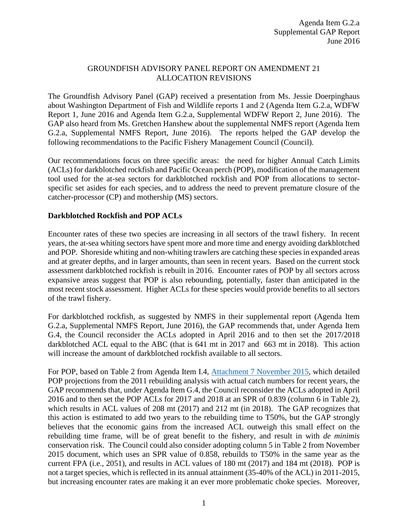## GROUNDFISH ADVISORY PANEL REPORT ON AMENDMENT 21 ALLOCATION REVISIONS

The Groundfish Advisory Panel (GAP) received a presentation from Ms. Jessie Doerpinghaus about Washington Department of Fish and Wildlife reports 1 and 2 (Agenda Item G.2.a, WDFW Report 1, June 2016 and Agenda Item G.2.a, Supplemental WDFW Report 2, June 2016). The GAP also heard from Ms. Gretchen Hanshew about the supplemental NMFS report (Agenda Item G.2.a, Supplemental NMFS Report, June 2016). The reports helped the GAP develop the following recommendations to the Pacific Fishery Management Council (Council).

Our recommendations focus on three specific areas: the need for higher Annual Catch Limits (ACLs) for darkblotched rockfish and Pacific Ocean perch (POP), modification of the management tool used for the at-sea sectors for darkblotched rockfish and POP from allocations to sectorspecific set asides for each species, and to address the need to prevent premature closure of the catcher-processor (CP) and mothership (MS) sectors.

## **Darkblotched Rockfish and POP ACLs**

Encounter rates of these two species are increasing in all sectors of the trawl fishery. In recent years, the at-sea whiting sectors have spent more and more time and energy avoiding darkblotched and POP. Shoreside whiting and non-whiting trawlers are catching these species in expanded areas and at greater depths, and in larger amounts, than seen in recent years. Based on the current stock assessment darkblotched rockfish is rebuilt in 2016. Encounter rates of POP by all sectors across expansive areas suggest that POP is also rebounding, potentially, faster than anticipated in the most recent stock assessment. Higher ACLs for these species would provide benefits to all sectors of the trawl fishery.

For darkblotched rockfish, as suggested by NMFS in their supplemental report (Agenda Item G.2.a, Supplemental NMFS Report, June 2016), the GAP recommends that, under Agenda Item G.4, the Council reconsider the ACLs adopted in April 2016 and to then set the 2017/2018 darkblotched ACL equal to the ABC (that is 641 mt in 2017 and 663 mt in 2018). This action will increase the amount of darkblotched rockfish available to all sectors.

For POP, based on Table 2 from Agenda Item I.4, [Attachment 7 November 2015,](http://www.pcouncil.org/wp-content/uploads/2015/10/I4_Att7_POPrebuild2015_Nov2015BB.pdf) which detailed POP projections from the 2011 rebuilding analysis with actual catch numbers for recent years, the GAP recommends that, under Agenda Item G.4, the Council reconsider the ACLs adopted in April 2016 and to then set the POP ACLs for 2017 and 2018 at an SPR of 0.839 (column 6 in Table 2), which results in ACL values of 208 mt (2017) and 212 mt (in 2018). The GAP recognizes that this action is estimated to add two years to the rebuilding time to T50%, but the GAP strongly believes that the economic gains from the increased ACL outweigh this small effect on the rebuilding time frame, will be of great benefit to the fishery, and result in with *de minimis* conservation risk. The Council could also consider adopting column 5 in Table 2 from November 2015 document, which uses an SPR value of 0.858, rebuilds to T50% in the same year as the current FPA (i.e., 2051), and results in ACL values of 180 mt (2017) and 184 mt (2018). POP is not a target species, which is reflected in its annual attainment (35-40% of the ACL) in 2011-2015, but increasing encounter rates are making it an ever more problematic choke species. Moreover,